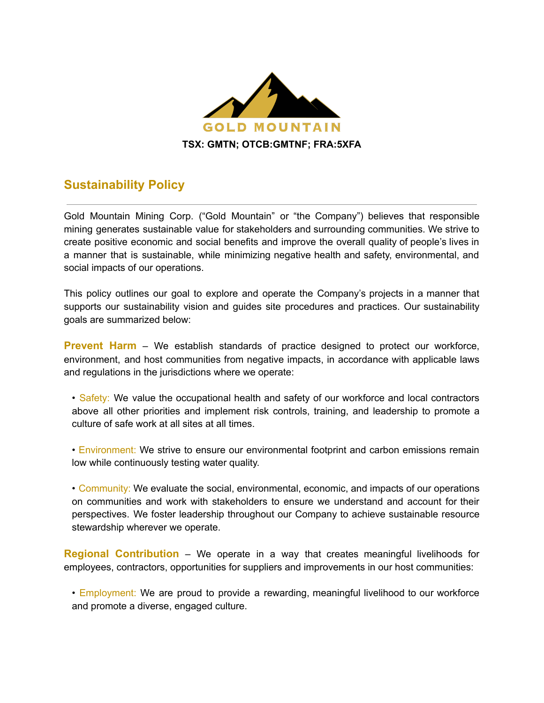

## **Sustainability Policy**

Gold Mountain Mining Corp. ("Gold Mountain" or "the Company") believes that responsible mining generates sustainable value for stakeholders and surrounding communities. We strive to create positive economic and social benefits and improve the overall quality of people's lives in a manner that is sustainable, while minimizing negative health and safety, environmental, and social impacts of our operations.

This policy outlines our goal to explore and operate the Company's projects in a manner that supports our sustainability vision and guides site procedures and practices. Our sustainability goals are summarized below:

**Prevent Harm** – We establish standards of practice designed to protect our workforce, environment, and host communities from negative impacts, in accordance with applicable laws and regulations in the jurisdictions where we operate:

- Safety: We value the occupational health and safety of our workforce and local contractors above all other priorities and implement risk controls, training, and leadership to promote a culture of safe work at all sites at all times.
- Environment: We strive to ensure our environmental footprint and carbon emissions remain low while continuously testing water quality.

• Community: We evaluate the social, environmental, economic, and impacts of our operations on communities and work with stakeholders to ensure we understand and account for their perspectives. We foster leadership throughout our Company to achieve sustainable resource stewardship wherever we operate.

**Regional Contribution** – We operate in a way that creates meaningful livelihoods for employees, contractors, opportunities for suppliers and improvements in our host communities:

• Employment: We are proud to provide a rewarding, meaningful livelihood to our workforce and promote a diverse, engaged culture.